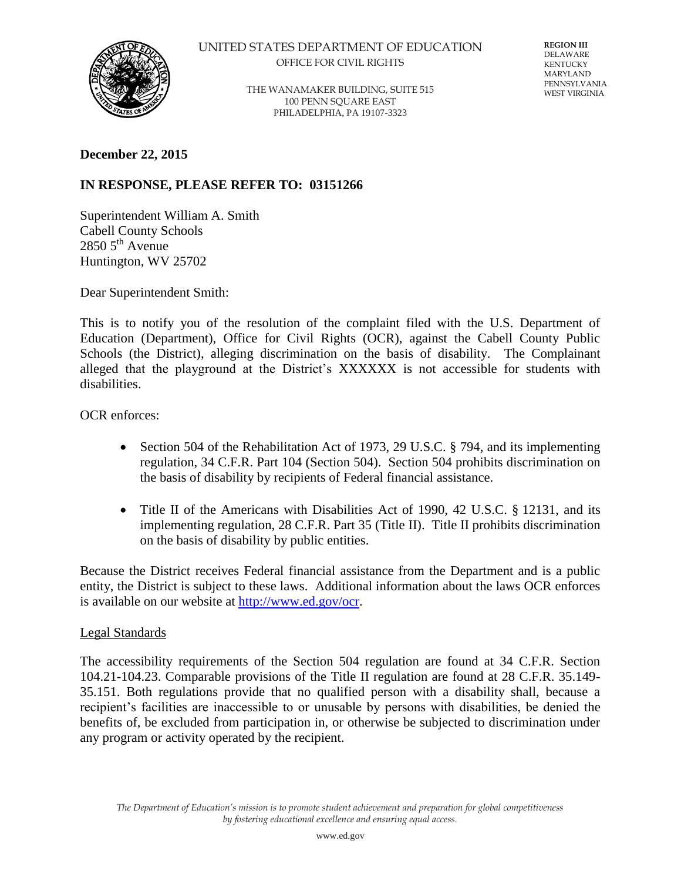

UNITED STATES DEPARTMENT OF EDUCATION OFFICE FOR CIVIL RIGHTS

> THE WANAMAKER BUILDING, SUITE 515 100 PENN SQUARE EAST PHILADELPHIA, PA 19107-3323

**REGION III** DELAWARE KENTUCKY MARYLAND PENNSYLVANIA WEST VIRGINIA

**December 22, 2015** 

## **IN RESPONSE, PLEASE REFER TO: 03151266**

Superintendent William A. Smith Cabell County Schools  $28505^{\text{th}}$  Avenue Huntington, WV 25702

Dear Superintendent Smith:

This is to notify you of the resolution of the complaint filed with the U.S. Department of Education (Department), Office for Civil Rights (OCR), against the Cabell County Public Schools (the District), alleging discrimination on the basis of disability. The Complainant alleged that the playground at the District's XXXXXX is not accessible for students with disabilities.

OCR enforces:

- Section 504 of the Rehabilitation Act of 1973, 29 U.S.C.  $\S$  794, and its implementing regulation, 34 C.F.R. Part 104 (Section 504). Section 504 prohibits discrimination on the basis of disability by recipients of Federal financial assistance.
- Title II of the Americans with Disabilities Act of 1990, 42 U.S.C. § 12131, and its implementing regulation, 28 C.F.R. Part 35 (Title II). Title II prohibits discrimination on the basis of disability by public entities.

Because the District receives Federal financial assistance from the Department and is a public entity, the District is subject to these laws. Additional information about the laws OCR enforces is available on our website at [http://www.ed.gov/ocr.](http://www.ed.gov/ocr)

## Legal Standards

The accessibility requirements of the Section 504 regulation are found at 34 C.F.R. Section 104.21-104.23. Comparable provisions of the Title II regulation are found at 28 C.F.R. 35.149- 35.151. Both regulations provide that no qualified person with a disability shall, because a recipient's facilities are inaccessible to or unusable by persons with disabilities, be denied the benefits of, be excluded from participation in, or otherwise be subjected to discrimination under any program or activity operated by the recipient.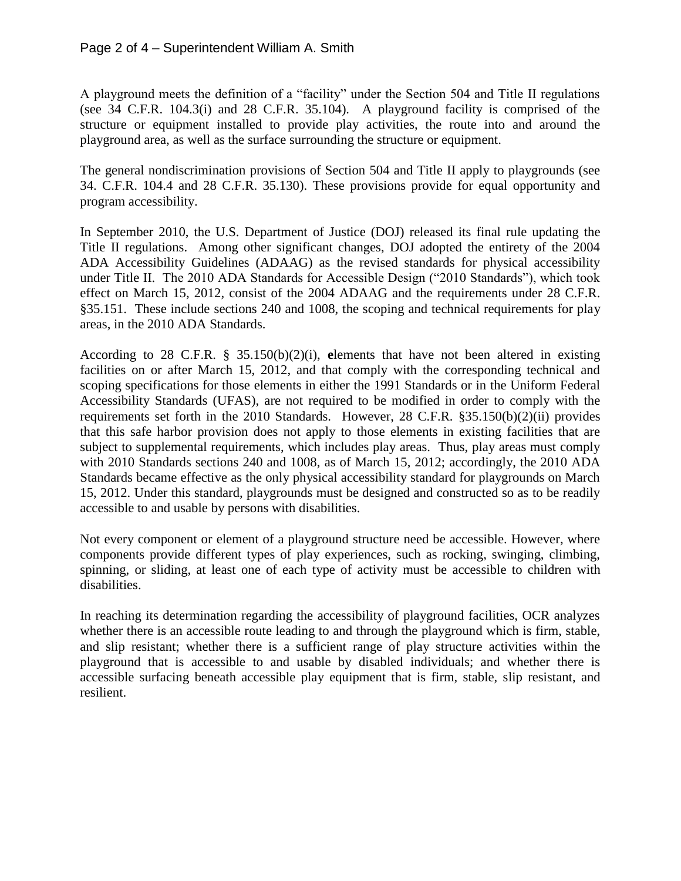A playground meets the definition of a "facility" under the Section 504 and Title II regulations (see 34 C.F.R. 104.3(i) and 28 C.F.R. 35.104). A playground facility is comprised of the structure or equipment installed to provide play activities, the route into and around the playground area, as well as the surface surrounding the structure or equipment.

The general nondiscrimination provisions of Section 504 and Title II apply to playgrounds (see 34. C.F.R. 104.4 and 28 C.F.R. 35.130). These provisions provide for equal opportunity and program accessibility.

In September 2010, the U.S. Department of Justice (DOJ) released its final rule updating the Title II regulations. Among other significant changes, DOJ adopted the entirety of the 2004 ADA Accessibility Guidelines (ADAAG) as the revised standards for physical accessibility under Title II. The 2010 ADA Standards for Accessible Design ("2010 Standards"), which took effect on March 15, 2012, consist of the 2004 ADAAG and the requirements under 28 C.F.R. §35.151. These include sections 240 and 1008, the scoping and technical requirements for play areas, in the 2010 ADA Standards.

According to 28 C.F.R. § 35.150(b)(2)(i), **e**lements that have not been altered in existing facilities on or after March 15, 2012, and that comply with the corresponding technical and scoping specifications for those elements in either the 1991 Standards or in the Uniform Federal Accessibility Standards (UFAS), are not required to be modified in order to comply with the requirements set forth in the 2010 Standards. However, 28 C.F.R. §35.150(b)(2)(ii) provides that this safe harbor provision does not apply to those elements in existing facilities that are subject to supplemental requirements, which includes play areas. Thus, play areas must comply with 2010 Standards sections 240 and 1008, as of March 15, 2012; accordingly, the 2010 ADA Standards became effective as the only physical accessibility standard for playgrounds on March 15, 2012. Under this standard, playgrounds must be designed and constructed so as to be readily accessible to and usable by persons with disabilities.

Not every component or element of a playground structure need be accessible. However, where components provide different types of play experiences, such as rocking, swinging, climbing, spinning, or sliding, at least one of each type of activity must be accessible to children with disabilities.

In reaching its determination regarding the accessibility of playground facilities, OCR analyzes whether there is an accessible route leading to and through the playground which is firm, stable, and slip resistant; whether there is a sufficient range of play structure activities within the playground that is accessible to and usable by disabled individuals; and whether there is accessible surfacing beneath accessible play equipment that is firm, stable, slip resistant, and resilient.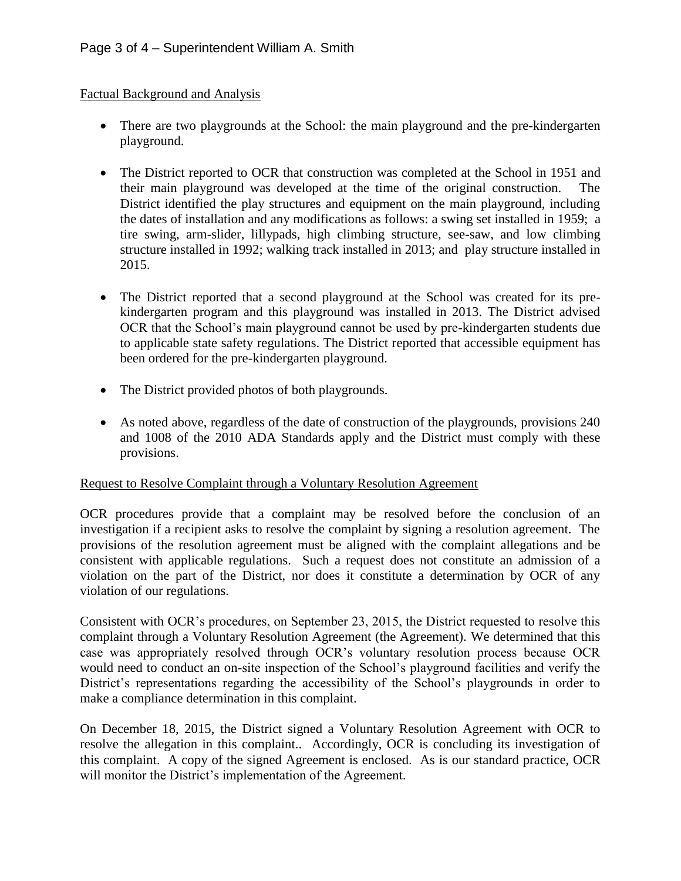## Factual Background and Analysis

- There are two playgrounds at the School: the main playground and the pre-kindergarten playground.
- The District reported to OCR that construction was completed at the School in 1951 and their main playground was developed at the time of the original construction. The District identified the play structures and equipment on the main playground, including the dates of installation and any modifications as follows: a swing set installed in 1959; a tire swing, arm-slider, lillypads, high climbing structure, see-saw, and low climbing structure installed in 1992; walking track installed in 2013; and play structure installed in 2015.
- The District reported that a second playground at the School was created for its prekindergarten program and this playground was installed in 2013. The District advised OCR that the School's main playground cannot be used by pre-kindergarten students due to applicable state safety regulations. The District reported that accessible equipment has been ordered for the pre-kindergarten playground.
- The District provided photos of both playgrounds.
- As noted above, regardless of the date of construction of the playgrounds, provisions 240 and 1008 of the 2010 ADA Standards apply and the District must comply with these provisions.

## Request to Resolve Complaint through a Voluntary Resolution Agreement

OCR procedures provide that a complaint may be resolved before the conclusion of an investigation if a recipient asks to resolve the complaint by signing a resolution agreement. The provisions of the resolution agreement must be aligned with the complaint allegations and be consistent with applicable regulations. Such a request does not constitute an admission of a violation on the part of the District, nor does it constitute a determination by OCR of any violation of our regulations.

Consistent with OCR's procedures, on September 23, 2015, the District requested to resolve this complaint through a Voluntary Resolution Agreement (the Agreement). We determined that this case was appropriately resolved through OCR's voluntary resolution process because OCR would need to conduct an on-site inspection of the School's playground facilities and verify the District's representations regarding the accessibility of the School's playgrounds in order to make a compliance determination in this complaint.

On December 18, 2015, the District signed a Voluntary Resolution Agreement with OCR to resolve the allegation in this complaint.. Accordingly, OCR is concluding its investigation of this complaint. A copy of the signed Agreement is enclosed. As is our standard practice, OCR will monitor the District's implementation of the Agreement.